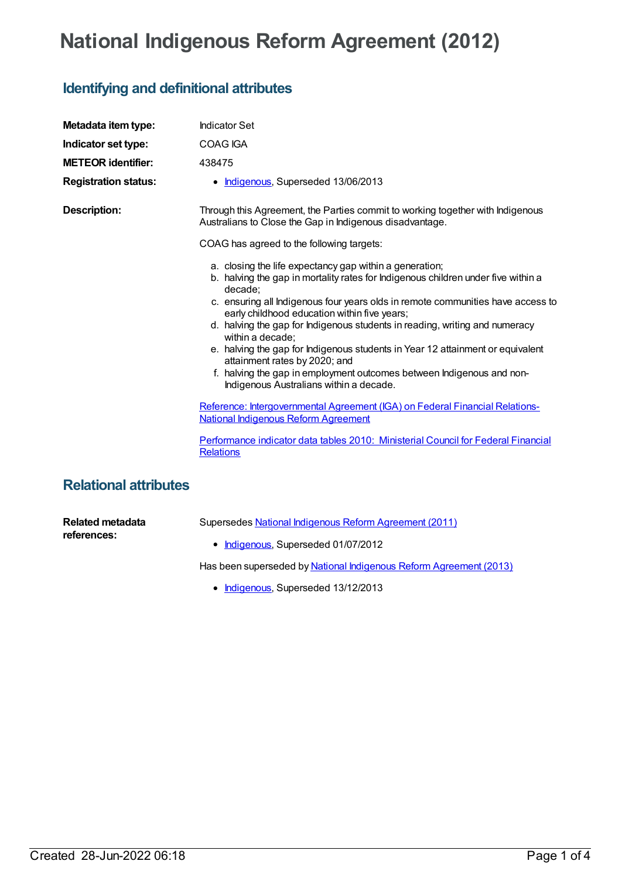## **National Indigenous Reform Agreement (2012)**

## **Identifying and definitional attributes**

| Metadata item type:          | <b>Indicator Set</b>                                                                                                                                                                                                                                                                                                                                                                                                                                                                                                                                                                                                                 |
|------------------------------|--------------------------------------------------------------------------------------------------------------------------------------------------------------------------------------------------------------------------------------------------------------------------------------------------------------------------------------------------------------------------------------------------------------------------------------------------------------------------------------------------------------------------------------------------------------------------------------------------------------------------------------|
| Indicator set type:          | COAG IGA                                                                                                                                                                                                                                                                                                                                                                                                                                                                                                                                                                                                                             |
| <b>METEOR identifier:</b>    | 438475                                                                                                                                                                                                                                                                                                                                                                                                                                                                                                                                                                                                                               |
| <b>Registration status:</b>  | • Indigenous, Superseded 13/06/2013                                                                                                                                                                                                                                                                                                                                                                                                                                                                                                                                                                                                  |
| <b>Description:</b>          | Through this Agreement, the Parties commit to working together with Indigenous<br>Australians to Close the Gap in Indigenous disadvantage.                                                                                                                                                                                                                                                                                                                                                                                                                                                                                           |
|                              | COAG has agreed to the following targets:                                                                                                                                                                                                                                                                                                                                                                                                                                                                                                                                                                                            |
|                              | a. closing the life expectancy gap within a generation;<br>b. halving the gap in mortality rates for Indigenous children under five within a<br>decade;<br>c. ensuring all Indigenous four years olds in remote communities have access to<br>early childhood education within five years;<br>d. halving the gap for Indigenous students in reading, writing and numeracy<br>within a decade;<br>e. halving the gap for Indigenous students in Year 12 attainment or equivalent<br>attainment rates by 2020; and<br>f. halving the gap in employment outcomes between Indigenous and non-<br>Indigenous Australians within a decade. |
|                              | Reference: Intergovernmental Agreement (IGA) on Federal Financial Relations-<br><b>National Indigenous Reform Agreement</b>                                                                                                                                                                                                                                                                                                                                                                                                                                                                                                          |
|                              | Performance indicator data tables 2010: Ministerial Council for Federal Financial<br><b>Relations</b>                                                                                                                                                                                                                                                                                                                                                                                                                                                                                                                                |
| <b>Relational attributes</b> |                                                                                                                                                                                                                                                                                                                                                                                                                                                                                                                                                                                                                                      |

**Related metadata references:**

Supersedes National Indigenous Reform [Agreement](https://meteor.aihw.gov.au/content/425730) (2011)

• [Indigenous](https://meteor.aihw.gov.au/RegistrationAuthority/6), Superseded 01/07/2012

Has been superseded by National Indigenous Reform [Agreement](https://meteor.aihw.gov.au/content/481045) (2013)

• [Indigenous](https://meteor.aihw.gov.au/RegistrationAuthority/6), Superseded 13/12/2013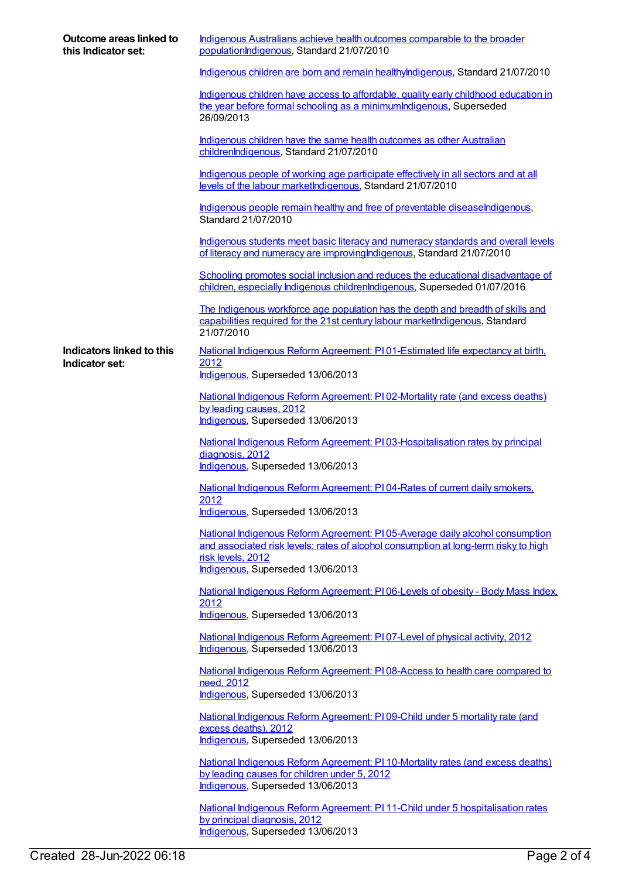| Outcome areas linked to<br>this Indicator set: | Indigenous Australians achieve health outcomes comparable to the broader<br>populationIndigenous, Standard 21/07/2010                                                                                                         |
|------------------------------------------------|-------------------------------------------------------------------------------------------------------------------------------------------------------------------------------------------------------------------------------|
|                                                | Indigenous children are born and remain healthylndigenous, Standard 21/07/2010                                                                                                                                                |
|                                                | Indigenous children have access to affordable, quality early childhood education in<br>the year before formal schooling as a minimum Indigenous, Superseded<br>26/09/2013                                                     |
|                                                | Indigenous children have the same health outcomes as other Australian<br>childrenlndigenous, Standard 21/07/2010                                                                                                              |
|                                                | Indigenous people of working age participate effectively in all sectors and at all<br>levels of the labour marketIndigenous, Standard 21/07/2010                                                                              |
|                                                | Indigenous people remain healthy and free of preventable diseaseIndigenous,<br>Standard 21/07/2010                                                                                                                            |
|                                                | Indigenous students meet basic literacy and numeracy standards and overall levels<br>of literacy and numeracy are improving Indigenous, Standard 21/07/2010                                                                   |
|                                                | Schooling promotes social inclusion and reduces the educational disadvantage of<br>children, especially Indigenous childrenIndigenous, Superseded 01/07/2016                                                                  |
|                                                | The Indigenous workforce age population has the depth and breadth of skills and<br>capabilities required for the 21st century labour marketIndigenous, Standard<br>21/07/2010                                                 |
| Indicators linked to this<br>Indicator set:    | National Indigenous Reform Agreement: P101-Estimated life expectancy at birth,<br>2012<br>Indigenous, Superseded 13/06/2013                                                                                                   |
|                                                | National Indigenous Reform Agreement: PI02-Mortality rate (and excess deaths)<br>by leading causes, 2012<br>Indigenous, Superseded 13/06/2013                                                                                 |
|                                                | National Indigenous Reform Agreement: PI03-Hospitalisation rates by principal<br>diagnosis, 2012<br>Indigenous, Superseded 13/06/2013                                                                                         |
|                                                | National Indigenous Reform Agreement: PI04-Rates of current daily smokers,                                                                                                                                                    |
|                                                | <u> 2012 </u><br>Indigenous, Superseded 13/06/2013                                                                                                                                                                            |
|                                                | National Indigenous Reform Agreement: PI05-Average daily alcohol consumption<br>and associated risk levels; rates of alcohol consumption at long-term risky to high<br>risk levels, 2012<br>Indigenous, Superseded 13/06/2013 |
|                                                | National Indigenous Reform Agreement: PI06-Levels of obesity - Body Mass Index,                                                                                                                                               |
|                                                | 2012<br>Indigenous, Superseded 13/06/2013                                                                                                                                                                                     |
|                                                | National Indigenous Reform Agreement: PI07-Level of physical activity, 2012<br>Indigenous, Superseded 13/06/2013                                                                                                              |
|                                                | National Indigenous Reform Agreement: PI08-Access to health care compared to<br>need, 2012<br>Indigenous, Superseded 13/06/2013                                                                                               |
|                                                | National Indigenous Reform Agreement: PI09-Child under 5 mortality rate (and<br>excess deaths), 2012<br>Indigenous, Superseded 13/06/2013                                                                                     |
|                                                | National Indigenous Reform Agreement: PI 10-Mortality rates (and excess deaths)<br>by leading causes for children under 5, 2012<br>Indigenous, Superseded 13/06/2013                                                          |
|                                                | National Indigenous Reform Agreement: PI 11-Child under 5 hospitalisation rates<br>by principal diagnosis, 2012<br>Indigenous, Superseded 13/06/2013                                                                          |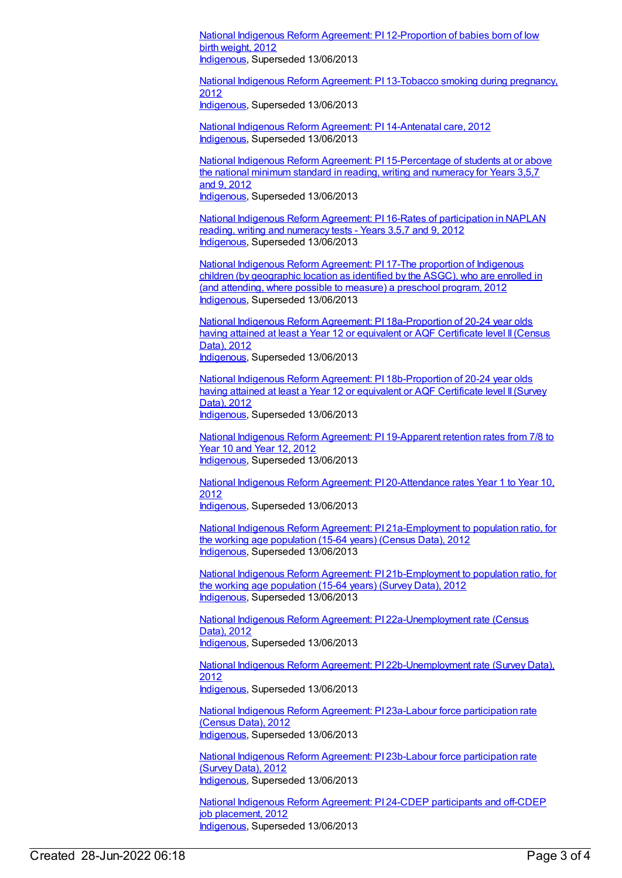National Indigenous Reform Agreement: PI [12-Proportion](https://meteor.aihw.gov.au/content/438630) of babies born of low birth weight, 2012 [Indigenous](https://meteor.aihw.gov.au/RegistrationAuthority/6), Superseded 13/06/2013

National Indigenous Reform Agreement: PI [13-Tobacco](https://meteor.aihw.gov.au/content/438635) smoking during pregnancy, 2012 [Indigenous](https://meteor.aihw.gov.au/RegistrationAuthority/6), Superseded 13/06/2013

National Indigenous Reform Agreement: PI [14-Antenatal](https://meteor.aihw.gov.au/content/438513) care, 2012 [Indigenous](https://meteor.aihw.gov.au/RegistrationAuthority/6), Superseded 13/06/2013

National Indigenous Reform Agreement: PI [15-Percentage](https://meteor.aihw.gov.au/content/438652) of students at or above the national minimum standard in reading, writing and numeracy for Years 3,5,7 and 9, 2012 [Indigenous](https://meteor.aihw.gov.au/RegistrationAuthority/6), Superseded 13/06/2013

National Indigenous Reform Agreement: PI 16-Rates of [participation](https://meteor.aihw.gov.au/content/438661) in NAPLAN reading, writing and numeracy tests - Years 3,5,7 and 9, 2012 [Indigenous](https://meteor.aihw.gov.au/RegistrationAuthority/6), Superseded 13/06/2013

National Indigenous Reform [Agreement:](https://meteor.aihw.gov.au/content/438664) PI 17-The proportion of Indigenous children (by geographic location as identified by the ASGC), who are enrolled in (and attending, where possible to measure) a preschool program, 2012 [Indigenous](https://meteor.aihw.gov.au/RegistrationAuthority/6), Superseded 13/06/2013

National Indigenous Reform Agreement: PI [18a-Proportion](https://meteor.aihw.gov.au/content/438667) of 20-24 year olds having attained at least a Year 12 or equivalent or AQF Certificate level II (Census Data), 2012 [Indigenous](https://meteor.aihw.gov.au/RegistrationAuthority/6), Superseded 13/06/2013

National Indigenous Reform Agreement: PI [18b-Proportion](https://meteor.aihw.gov.au/content/438675) of 20-24 year olds having attained at least a Year 12 or equivalent or AQF Certificate level II (Survey Data), 2012 [Indigenous](https://meteor.aihw.gov.au/RegistrationAuthority/6), Superseded 13/06/2013

National Indigenous Reform Agreement: PI [19-Apparent](https://meteor.aihw.gov.au/content/438684) retention rates from 7/8 to Year 10 and Year 12, 2012 [Indigenous](https://meteor.aihw.gov.au/RegistrationAuthority/6), Superseded 13/06/2013

National Indigenous Reform Agreement: PI [20-Attendance](https://meteor.aihw.gov.au/content/438692) rates Year 1 to Year 10, 2012 [Indigenous](https://meteor.aihw.gov.au/RegistrationAuthority/6), Superseded 13/06/2013

National Indigenous Reform Agreement: PI [21a-Employment](https://meteor.aihw.gov.au/content/438695) to population ratio, for the working age population (15-64 years) (Census Data), 2012 [Indigenous](https://meteor.aihw.gov.au/RegistrationAuthority/6), Superseded 13/06/2013

National Indigenous Reform Agreement: PI [21b-Employment](https://meteor.aihw.gov.au/content/438700) to population ratio, for the working age population (15-64 years) (Survey Data), 2012 [Indigenous](https://meteor.aihw.gov.au/RegistrationAuthority/6), Superseded 13/06/2013

National Indigenous Reform Agreement: PI [22a-Unemployment](https://meteor.aihw.gov.au/content/438703) rate (Census Data), 2012 [Indigenous](https://meteor.aihw.gov.au/RegistrationAuthority/6), Superseded 13/06/2013

National Indigenous Reform Agreement: PI [22b-Unemployment](https://meteor.aihw.gov.au/content/438709) rate (Survey Data), 2012 [Indigenous](https://meteor.aihw.gov.au/RegistrationAuthority/6), Superseded 13/06/2013

National Indigenous Reform Agreement: PI 23a-Labour force [participation](https://meteor.aihw.gov.au/content/438716) rate (Census Data), 2012 [Indigenous](https://meteor.aihw.gov.au/RegistrationAuthority/6), Superseded 13/06/2013

National Indigenous Reform Agreement: PI 23b-Labour force [participation](https://meteor.aihw.gov.au/content/438718) rate (Survey Data), 2012 [Indigenous](https://meteor.aihw.gov.au/RegistrationAuthority/6), Superseded 13/06/2013

National Indigenous Reform [Agreement:](https://meteor.aihw.gov.au/content/438724) PI 24-CDEP participants and off-CDEP job placement, 2012 [Indigenous](https://meteor.aihw.gov.au/RegistrationAuthority/6), Superseded 13/06/2013